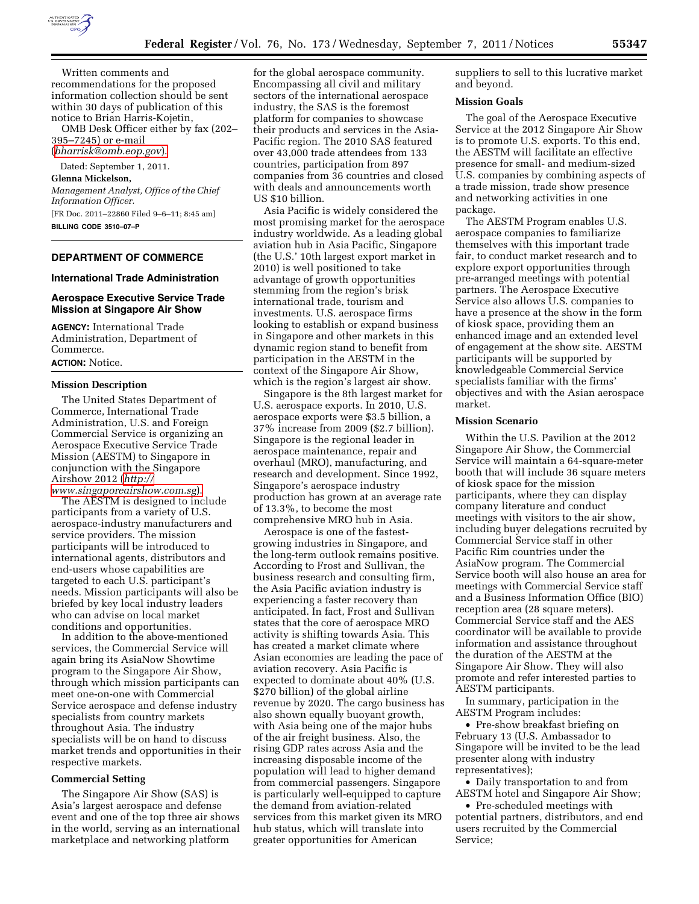

Written comments and recommendations for the proposed information collection should be sent within 30 days of publication of this notice to Brian Harris-Kojetin,

OMB Desk Officer either by fax (202– 395–7245) or e-mail

(*[bharrisk@omb.eop.gov](mailto:bharrisk@omb.eop.gov)*).

# Dated: September 1, 2011.

**Glenna Mickelson,**  *Management Analyst, Office of the Chief Information Officer.*  [FR Doc. 2011–22860 Filed 9–6–11; 8:45 am] **BILLING CODE 3510–07–P** 

## **DEPARTMENT OF COMMERCE**

## **International Trade Administration**

## **Aerospace Executive Service Trade Mission at Singapore Air Show**

**AGENCY:** International Trade Administration, Department of Commerce. **ACTION:** Notice.

#### **Mission Description**

The United States Department of Commerce, International Trade Administration, U.S. and Foreign Commercial Service is organizing an Aerospace Executive Service Trade Mission (AESTM) to Singapore in conjunction with the Singapore Airshow 2012 (*[http://](http://www.singaporeairshow.com.sg)* 

*[www.singaporeairshow.com.sg](http://www.singaporeairshow.com.sg)*). The AESTM is designed to include participants from a variety of U.S. aerospace-industry manufacturers and service providers. The mission participants will be introduced to international agents, distributors and end-users whose capabilities are targeted to each U.S. participant's needs. Mission participants will also be briefed by key local industry leaders who can advise on local market conditions and opportunities.

In addition to the above-mentioned services, the Commercial Service will again bring its AsiaNow Showtime program to the Singapore Air Show, through which mission participants can meet one-on-one with Commercial Service aerospace and defense industry specialists from country markets throughout Asia. The industry specialists will be on hand to discuss market trends and opportunities in their respective markets.

#### **Commercial Setting**

The Singapore Air Show (SAS) is Asia's largest aerospace and defense event and one of the top three air shows in the world, serving as an international marketplace and networking platform

for the global aerospace community. Encompassing all civil and military sectors of the international aerospace industry, the SAS is the foremost platform for companies to showcase their products and services in the Asia-Pacific region. The 2010 SAS featured over 43,000 trade attendees from 133 countries, participation from 897 companies from 36 countries and closed with deals and announcements worth US \$10 billion.

Asia Pacific is widely considered the most promising market for the aerospace industry worldwide. As a leading global aviation hub in Asia Pacific, Singapore (the U.S.' 10th largest export market in 2010) is well positioned to take advantage of growth opportunities stemming from the region's brisk international trade, tourism and investments. U.S. aerospace firms looking to establish or expand business in Singapore and other markets in this dynamic region stand to benefit from participation in the AESTM in the context of the Singapore Air Show, which is the region's largest air show.

Singapore is the 8th largest market for U.S. aerospace exports. In 2010, U.S. aerospace exports were \$3.5 billion, a 37% increase from 2009 (\$2.7 billion). Singapore is the regional leader in aerospace maintenance, repair and overhaul (MRO), manufacturing, and research and development. Since 1992, Singapore's aerospace industry production has grown at an average rate of 13.3%, to become the most comprehensive MRO hub in Asia.

Aerospace is one of the fastestgrowing industries in Singapore, and the long-term outlook remains positive. According to Frost and Sullivan, the business research and consulting firm, the Asia Pacific aviation industry is experiencing a faster recovery than anticipated. In fact, Frost and Sullivan states that the core of aerospace MRO activity is shifting towards Asia. This has created a market climate where Asian economies are leading the pace of aviation recovery. Asia Pacific is expected to dominate about 40% (U.S. \$270 billion) of the global airline revenue by 2020. The cargo business has also shown equally buoyant growth, with Asia being one of the major hubs of the air freight business. Also, the rising GDP rates across Asia and the increasing disposable income of the population will lead to higher demand from commercial passengers. Singapore is particularly well-equipped to capture the demand from aviation-related services from this market given its MRO hub status, which will translate into greater opportunities for American

suppliers to sell to this lucrative market and beyond.

## **Mission Goals**

The goal of the Aerospace Executive Service at the 2012 Singapore Air Show is to promote U.S. exports. To this end, the AESTM will facilitate an effective presence for small- and medium-sized U.S. companies by combining aspects of a trade mission, trade show presence and networking activities in one package.

The AESTM Program enables U.S. aerospace companies to familiarize themselves with this important trade fair, to conduct market research and to explore export opportunities through pre-arranged meetings with potential partners. The Aerospace Executive Service also allows U.S. companies to have a presence at the show in the form of kiosk space, providing them an enhanced image and an extended level of engagement at the show site. AESTM participants will be supported by knowledgeable Commercial Service specialists familiar with the firms' objectives and with the Asian aerospace market.

#### **Mission Scenario**

Within the U.S. Pavilion at the 2012 Singapore Air Show, the Commercial Service will maintain a 64-square-meter booth that will include 36 square meters of kiosk space for the mission participants, where they can display company literature and conduct meetings with visitors to the air show, including buyer delegations recruited by Commercial Service staff in other Pacific Rim countries under the AsiaNow program. The Commercial Service booth will also house an area for meetings with Commercial Service staff and a Business Information Office (BIO) reception area (28 square meters). Commercial Service staff and the AES coordinator will be available to provide information and assistance throughout the duration of the AESTM at the Singapore Air Show. They will also promote and refer interested parties to AESTM participants.

In summary, participation in the AESTM Program includes:

• Pre-show breakfast briefing on February 13 (U.S. Ambassador to Singapore will be invited to be the lead presenter along with industry representatives);

• Daily transportation to and from AESTM hotel and Singapore Air Show;

• Pre-scheduled meetings with potential partners, distributors, and end users recruited by the Commercial Service;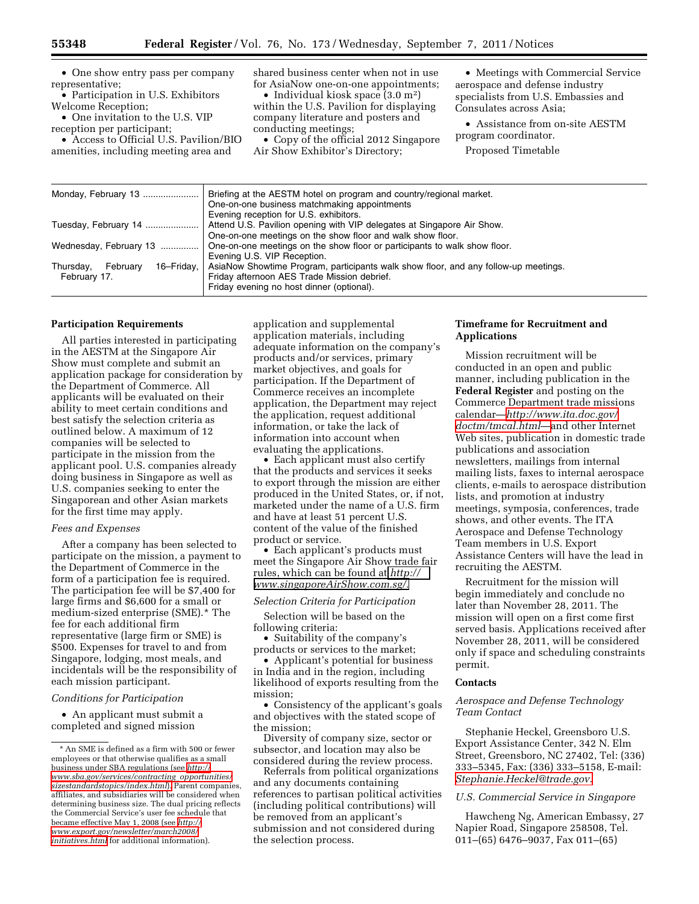• One show entry pass per company representative;

• Participation in U.S. Exhibitors Welcome Reception;

• One invitation to the U.S. VIP reception per participant;

• Access to Official U.S. Pavilion/BIO amenities, including meeting area and

shared business center when not in use for AsiaNow one-on-one appointments;

• Individual kiosk space (3.0 m<sup>2</sup>) within the U.S. Pavilion for displaying company literature and posters and conducting meetings;

• Copy of the official 2012 Singapore Air Show Exhibitor's Directory;

• Meetings with Commercial Service aerospace and defense industry specialists from U.S. Embassies and Consulates across Asia;

• Assistance from on-site AESTM program coordinator.

Proposed Timetable

| Briefing at the AESTM hotel on program and country/regional market.                 |
|-------------------------------------------------------------------------------------|
| One-on-one business matchmaking appointments                                        |
| Evening reception for U.S. exhibitors.                                              |
| Attend U.S. Pavilion opening with VIP delegates at Singapore Air Show.              |
| One-on-one meetings on the show floor and walk show floor.                          |
| One-on-one meetings on the show floor or participants to walk show floor.           |
| Evening U.S. VIP Reception.                                                         |
| AsiaNow Showtime Program, participants walk show floor, and any follow-up meetings. |
| Friday afternoon AES Trade Mission debrief.                                         |
|                                                                                     |
| Friday evening no host dinner (optional).                                           |
|                                                                                     |

#### **Participation Requirements**

All parties interested in participating in the AESTM at the Singapore Air Show must complete and submit an application package for consideration by the Department of Commerce. All applicants will be evaluated on their ability to meet certain conditions and best satisfy the selection criteria as outlined below. A maximum of 12 companies will be selected to participate in the mission from the applicant pool. U.S. companies already doing business in Singapore as well as U.S. companies seeking to enter the Singaporean and other Asian markets for the first time may apply.

#### *Fees and Expenses*

After a company has been selected to participate on the mission, a payment to the Department of Commerce in the form of a participation fee is required. The participation fee will be \$7,400 for large firms and \$6,600 for a small or medium-sized enterprise (SME).\* The fee for each additional firm representative (large firm or SME) is \$500. Expenses for travel to and from Singapore, lodging, most meals, and incidentals will be the responsibility of each mission participant.

## *Conditions for Participation*

• An applicant must submit a completed and signed mission

application and supplemental application materials, including adequate information on the company's products and/or services, primary market objectives, and goals for participation. If the Department of Commerce receives an incomplete application, the Department may reject the application, request additional information, or take the lack of information into account when evaluating the applications.

• Each applicant must also certify that the products and services it seeks to export through the mission are either produced in the United States, or, if not, marketed under the name of a U.S. firm and have at least 51 percent U.S. content of the value of the finished product or service.

• Each applicant's products must meet the Singapore Air Show trade fair rules, which can be found at *[http://](http://www.singaporeAirShow.com.sg/)  [www.singaporeAirShow.com.sg/.](http://www.singaporeAirShow.com.sg/)* 

## *Selection Criteria for Participation*

Selection will be based on the following criteria:

• Suitability of the company's products or services to the market;

• Applicant's potential for business in India and in the region, including likelihood of exports resulting from the mission;

• Consistency of the applicant's goals and objectives with the stated scope of the mission;

Diversity of company size, sector or subsector, and location may also be considered during the review process.

Referrals from political organizations and any documents containing references to partisan political activities (including political contributions) will be removed from an applicant's submission and not considered during the selection process.

## **Timeframe for Recruitment and Applications**

Mission recruitment will be conducted in an open and public manner, including publication in the **Federal Register** and posting on the Commerce Department trade missions calendar—*[http://www.ita.doc.gov/](http://www.ita.doc.gov/doctm/tmcal.html)  [doctm/tmcal.html](http://www.ita.doc.gov/doctm/tmcal.html)*—and other Internet Web sites, publication in domestic trade publications and association newsletters, mailings from internal mailing lists, faxes to internal aerospace clients, e-mails to aerospace distribution lists, and promotion at industry meetings, symposia, conferences, trade shows, and other events. The ITA Aerospace and Defense Technology Team members in U.S. Export Assistance Centers will have the lead in recruiting the AESTM.

Recruitment for the mission will begin immediately and conclude no later than November 28, 2011. The mission will open on a first come first served basis. Applications received after November 28, 2011, will be considered only if space and scheduling constraints permit.

## **Contacts**

## *Aerospace and Defense Technology Team Contact*

Stephanie Heckel, Greensboro U.S. Export Assistance Center, 342 N. Elm Street, Greensboro, NC 27402, Tel: (336) 333–5345, Fax: (336) 333–5158, E-mail: *[Stephanie.Heckel@trade.gov.](mailto:Stephanie.Heckel@trade.gov)* 

#### *U.S. Commercial Service in Singapore*

Hawcheng Ng, American Embassy, 27 Napier Road, Singapore 258508, Tel. 011–(65) 6476–9037, Fax 011–(65)

<sup>\*</sup> An SME is defined as a firm with 500 or fewer employees or that otherwise qualifies as a small business under SBA regulations (see *[http://](http://www.sba.gov/services/contracting_opportunities/sizestandardstopics/index.html) [www.sba.gov/services/contracting](http://www.sba.gov/services/contracting_opportunities/sizestandardstopics/index.html)*\_*opportunities/ [sizestandardstopics/index.html](http://www.sba.gov/services/contracting_opportunities/sizestandardstopics/index.html)*). Parent companies, affiliates, and subsidiaries will be considered when determining business size. The dual pricing reflects the Commercial Service's user fee schedule that became effective May 1, 2008 (see *[http://](http://www.export.gov/newsletter/march2008/initiatives.html) [www.export.gov/newsletter/march2008/](http://www.export.gov/newsletter/march2008/initiatives.html)  [initiatives.html](http://www.export.gov/newsletter/march2008/initiatives.html)* for additional information).